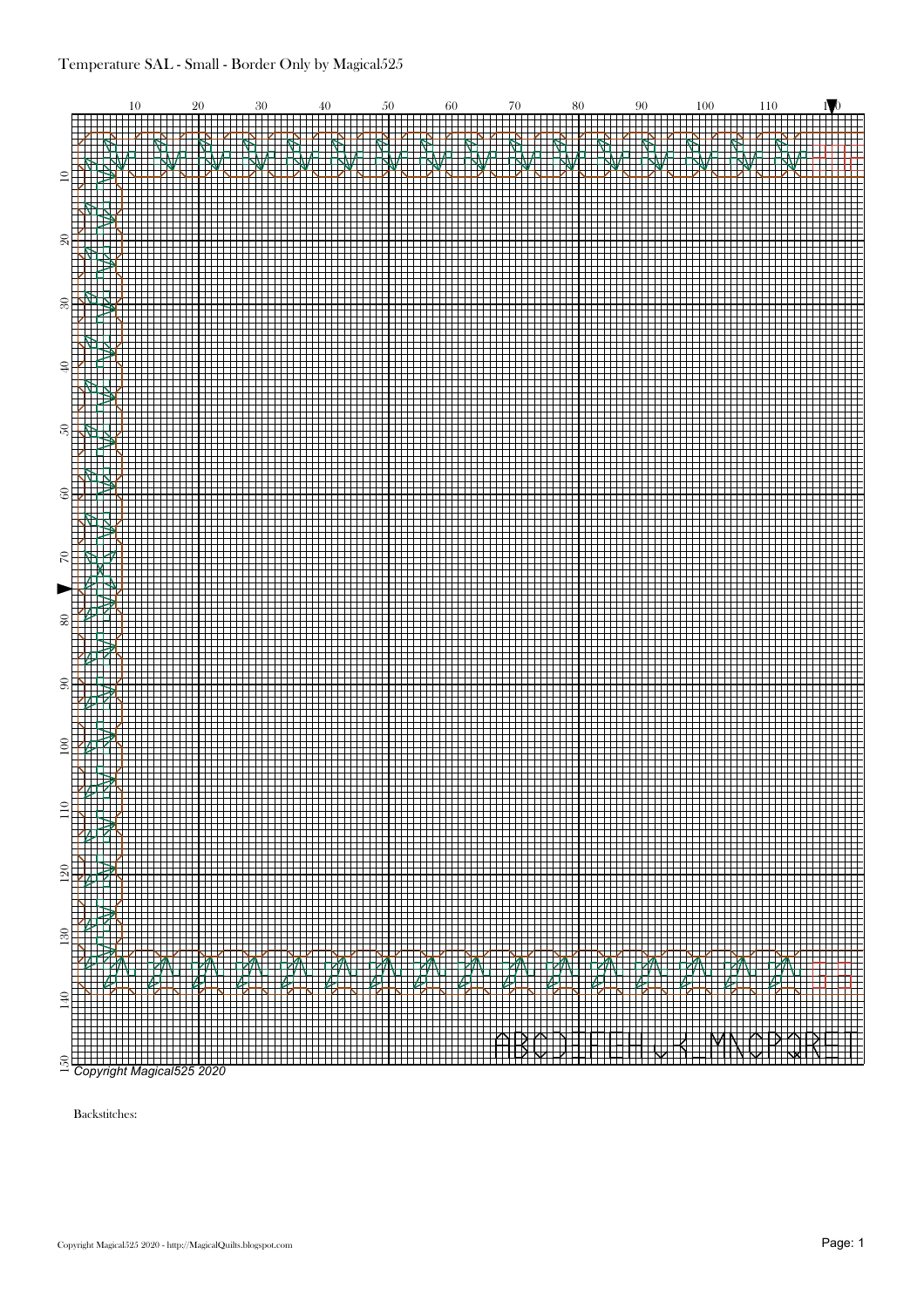

Backstitches: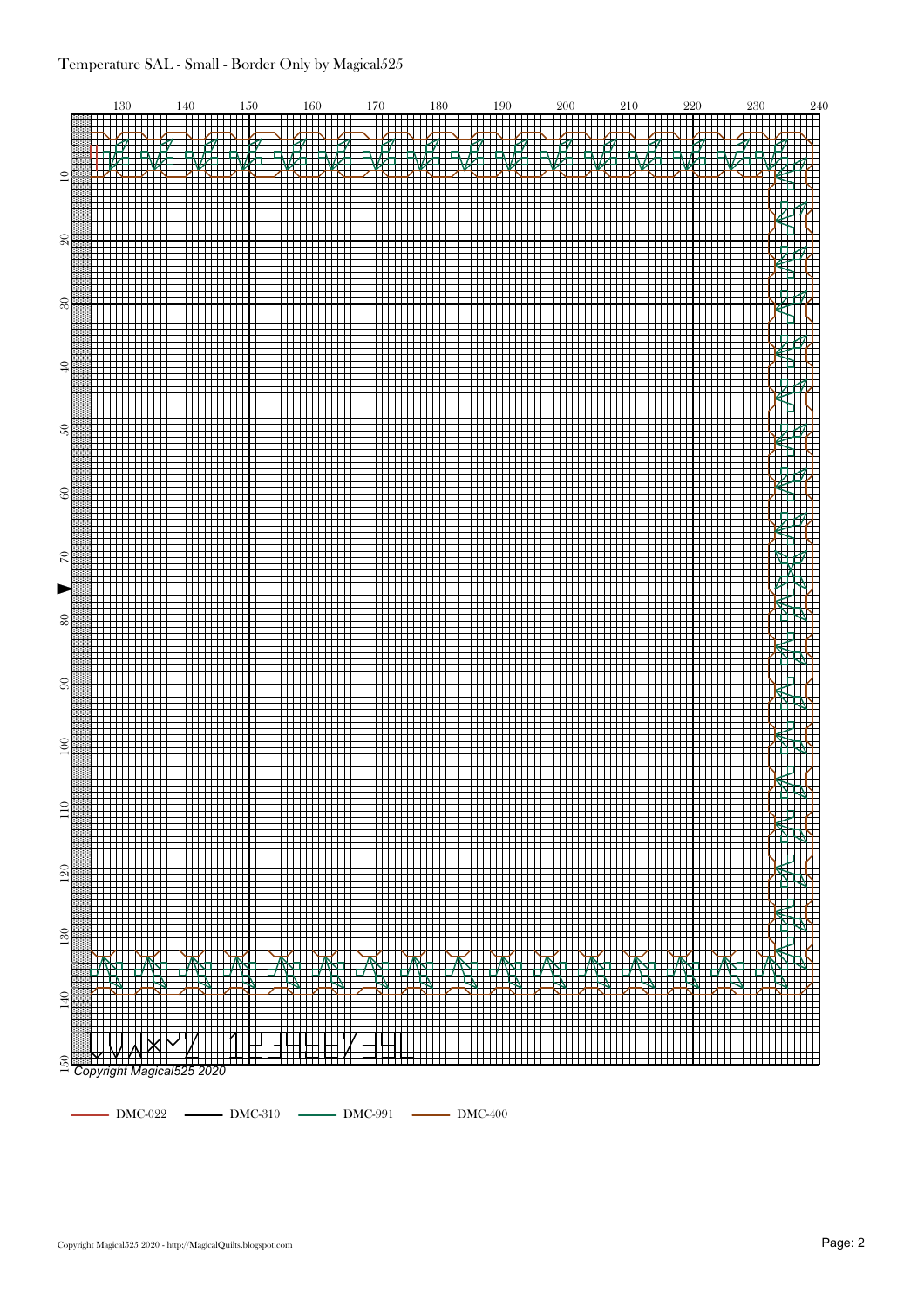